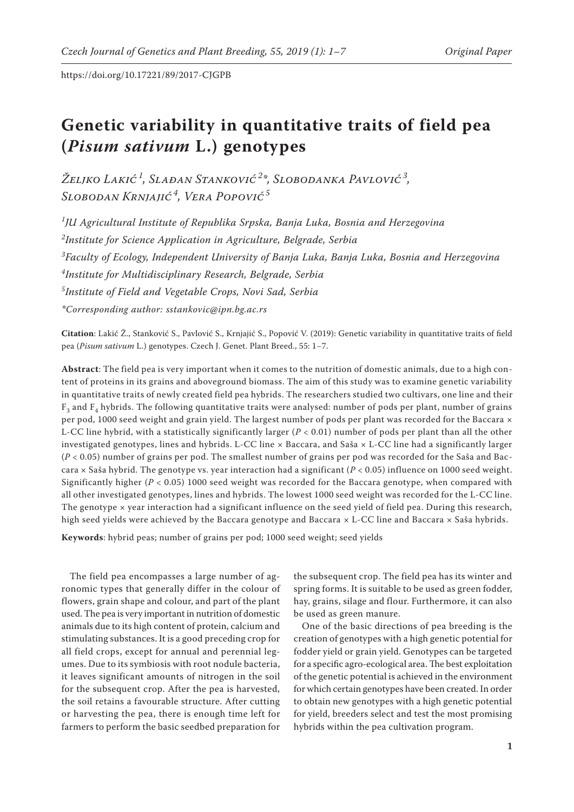# **Genetic variability in quantitative traits of field pea (***Pisum sativum* **L.) genotypes**

*Željko Lakić <sup>1</sup> , Slađan Stanković <sup>2</sup> \*, Slobodanka Pavlović <sup>3</sup> , Slobodan Krnjajić <sup>4</sup> , Vera Popović <sup>5</sup>*

 *JU Agricultural Institute of Republika Srpska, Banja Luka, Bosnia and Herzegovina Institute for Science Application in Agriculture, Belgrade, Serbia Faculty of Ecology, Independent University of Banja Luka, Banja Luka, Bosnia and Herzegovina Institute for Multidisciplinary Research, Belgrade, Serbia Institute of Field and Vegetable Crops, Novi Sad, Serbia \*Corresponding author: sstankovic@ipn.bg.ac.rs*

**Citation**: Lakić Ž., Stanković S., Pavlović S., Krnjajić S., Popović V. (2019): Genetic variability in quantitative traits of field pea (*Pisum sativum* L.) genotypes. Czech J. Genet. Plant Breed., 55: 1−7.

**Abstract**: The field pea is very important when it comes to the nutrition of domestic animals, due to a high content of proteins in its grains and aboveground biomass. The aim of this study was to examine genetic variability in quantitative traits of newly created field pea hybrids. The researchers studied two cultivars, one line and their  $F_3$  and  $F_4$  hybrids. The following quantitative traits were analysed: number of pods per plant, number of grains per pod, 1000 seed weight and grain yield. The largest number of pods per plant was recorded for the Baccara × L-CC line hybrid, with a statistically significantly larger (*P* < 0.01) number of pods per plant than all the other investigated genotypes, lines and hybrids. L-CC line  $\times$  Baccara, and Saša  $\times$  L-CC line had a significantly larger (*P* < 0.05) number of grains per pod. The smallest number of grains per pod was recorded for the Saša and Baccara × Saša hybrid. The genotype vs. year interaction had a significant (*P* < 0.05) influence on 1000 seed weight. Significantly higher (*P* < 0.05) 1000 seed weight was recorded for the Baccara genotype, when compared with all other investigated genotypes, lines and hybrids. The lowest 1000 seed weight was recorded for the L-CC line. The genotype  $\times$  year interaction had a significant influence on the seed yield of field pea. During this research, high seed yields were achieved by the Baccara genotype and Baccara x L-CC line and Baccara x Saša hybrids.

**Keywords**: hybrid peas; number of grains per pod; 1000 seed weight; seed yields

The field pea encompasses a large number of agronomic types that generally differ in the colour of flowers, grain shape and colour, and part of the plant used. The pea is very important in nutrition of domestic animals due to its high content of protein, calcium and stimulating substances. It is a good preceding crop for all field crops, except for annual and perennial legumes. Due to its symbiosis with root nodule bacteria, it leaves significant amounts of nitrogen in the soil for the subsequent crop. After the pea is harvested, the soil retains a favourable structure. After cutting or harvesting the pea, there is enough time left for farmers to perform the basic seedbed preparation for

the subsequent crop. The field pea has its winter and spring forms. It is suitable to be used as green fodder, hay, grains, silage and flour. Furthermore, it can also be used as green manure.

One of the basic directions of pea breeding is the creation of genotypes with a high genetic potential for fodder yield or grain yield. Genotypes can be targeted for a specific agro-ecological area. The best exploitation of the genetic potential is achieved in the environment for which certain genotypes have been created. In order to obtain new genotypes with a high genetic potential for yield, breeders select and test the most promising hybrids within the pea cultivation program.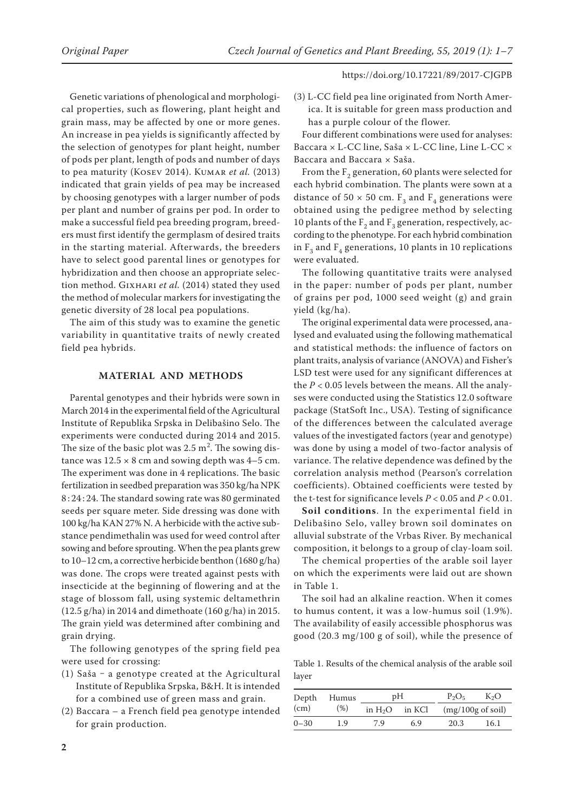Genetic variations of phenological and morphological properties, such as flowering, plant height and grain mass, may be affected by one or more genes. An increase in pea yields is significantly affected by the selection of genotypes for plant height, number of pods per plant, length of pods and number of days to pea maturity (KOSEV 2014). KUMAR et al. (2013) indicated that grain yields of pea may be increased by choosing genotypes with a larger number of pods per plant and number of grains per pod. In order to make a successful field pea breeding program, breeders must first identify the germplasm of desired traits in the starting material. Afterwards, the breeders have to select good parental lines or genotypes for hybridization and then choose an appropriate selection method. GIXHARI et al. (2014) stated they used the method of molecular markers for investigating the genetic diversity of 28 local pea populations.

The aim of this study was to examine the genetic variability in quantitative traits of newly created field pea hybrids.

# **MATERIAL AND METHODS**

Parental genotypes and their hybrids were sown in March 2014 in the experimental field of the Agricultural Institute of Republika Srpska in Delibašino Selo. The experiments were conducted during 2014 and 2015. The size of the basic plot was  $2.5 \text{ m}^2$ . The sowing distance was  $12.5 \times 8$  cm and sowing depth was  $4-5$  cm. The experiment was done in 4 replications. The basic fertilization in seedbed preparation was 350 kg/ha NPK 8 : 24 : 24. The standard sowing rate was 80 germinated seeds per square meter. Side dressing was done with 100 kg/ha KAN 27% N. A herbicide with the active substance pendimethalin was used for weed control after sowing and before sprouting. When the pea plants grew to 10–12 cm, a corrective herbicide benthon (1680 g/ha) was done. The crops were treated against pests with insecticide at the beginning of flowering and at the stage of blossom fall, using systemic deltamethrin (12.5 g/ha) in 2014 and dimethoate (160 g/ha) in 2015. The grain yield was determined after combining and grain drying.

The following genotypes of the spring field pea were used for crossing:

- (1) Saša ‒ a genotype created at the Agricultural Institute of Republika Srpska, B&H. It is intended for a combined use of green mass and grain.
- (2) Baccara a French field pea genotype intended for grain production.

(3) L-CC field pea line originated from North America. It is suitable for green mass production and has a purple colour of the flower.

Four different combinations were used for analyses: Baccara × L-CC line, Saša × L-CC line, Line L-CC × Baccara and Baccara × Saša.

From the  $F<sub>2</sub>$  generation, 60 plants were selected for each hybrid combination. The plants were sown at a distance of 50  $\times$  50 cm. F<sub>3</sub> and F<sub>4</sub> generations were obtained using the pedigree method by selecting 10 plants of the  $F_2$  and  $F_3$  generation, respectively, according to the phenotype. For each hybrid combination in  $F_3$  and  $F_4$  generations, 10 plants in 10 replications were evaluated.

The following quantitative traits were analysed in the paper: number of pods per plant, number of grains per pod, 1000 seed weight (g) and grain yield (kg/ha).

The original experimental data were processed, analysed and evaluated using the following mathematical and statistical methods: the influence of factors on plant traits, analysis of variance (ANOVA) and Fisher's LSD test were used for any significant differences at the *P* < 0.05 levels between the means. All the analyses were conducted using the Statistics 12.0 software package (StatSoft Inc., USA). Testing of significance of the differences between the calculated average values of the investigated factors (year and genotype) was done by using a model of two-factor analysis of variance. The relative dependence was defined by the correlation analysis method (Pearson's correlation coefficients). Obtained coefficients were tested by the t-test for significance levels  $P < 0.05$  and  $P < 0.01$ .

**Soil conditions**. In the experimental field in Delibašino Selo, valley brown soil dominates on alluvial substrate of the Vrbas River. By mechanical composition, it belongs to a group of clay-loam soil.

The chemical properties of the arable soil layer on which the experiments were laid out are shown in Table 1.

The soil had an alkaline reaction. When it comes to humus content, it was а low-humus soil (1.9%). The availability of easily accessible phosphorus was good (20.3 mg/100 g of soil), while the presence of

Table 1. Results of the chemical analysis of the arable soil layer

| Depth    | Humus |                     | рH  | $P_2O_5$                    | K <sub>2</sub> O |  |
|----------|-------|---------------------|-----|-----------------------------|------------------|--|
| (cm)     | (% )  | in $H_2O$<br>in KCl |     | $(mg/100g \text{ of soil})$ |                  |  |
| $0 - 30$ | 1.9   | 7.9                 | 6.9 | 20.3                        | 16.1             |  |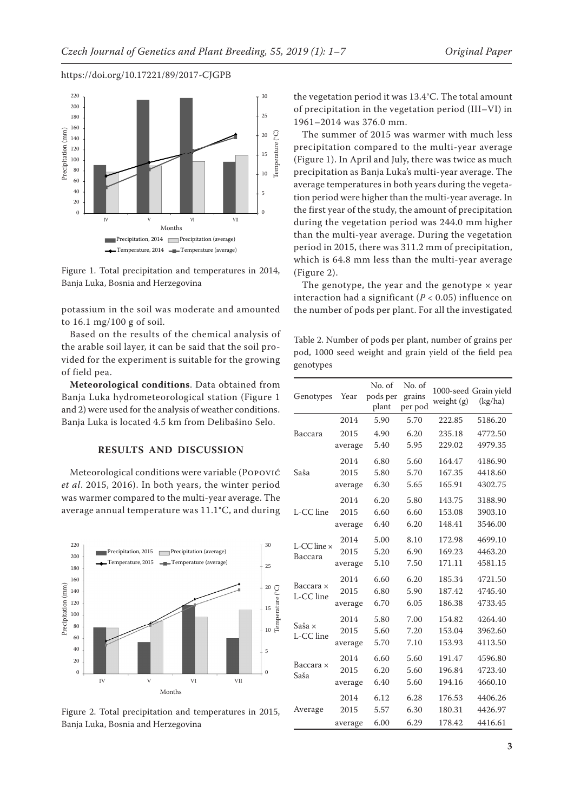

Figure 1. Total precipitation and temperatures in 2014, Banja Luka, Bosnia and Herzegovina

potassium in the soil was moderate and amounted to 16.1 mg/100 g of soil.

Based on the results of the chemical analysis of the arable soil layer, it can be said that the soil provided for the experiment is suitable for the growing of field pea.

**Meteorological conditions**. Data obtained from Banja Luka hydrometeorological station (Figure 1 and 2) were used for the analysis of weather conditions. 180 Banja Luka is located 4.5 km from Delibašino Selo.

# **RESULTS AND DISCUSSION**

Meteorological conditions were variable (Popović 80 et al. 2015, 2016). In both years, the winter period was warmer compared to the multi-year average. The 40 average annual temperature was  $11.1^{\circ}$ C, and during



Figure 2. Total precipitation and temperatures in 2015, Banja Luka, Bosnia and Herzegovina

the vegetation period it was 13.4°C. The total amount of precipitation in the vegetation period (III–VI) in 1961–2014 was 376.0 mm. 20

The summer of 2015 was warmer with much less precipitation compared to the multi-year average (Figure 1). In April and July, there was twice as much 10 precipitation as Banja Luka's multi-year average. The average temperatures in both years during the vegeta-5 tion period were higher than the multi-year average. In  $\frac{5}{\pi}$  tion period were higher than the multi-year average. In the first year of the study, the amount of precipitation during the vegetation period was 244.0 mm higher than the multi-year average. During the vegetation period in 2015, there was 311.2 mm of precipitation, which is 64.8 mm less than the multi-year average (Figure 2).

> The genotype, the year and the genotype  $\times$  year interaction had a significant  $(P < 0.05)$  influence on the number of pods per plant. For all the investigated

> Table 2. Number of pods per plant, number of grains per pod, 1000 seed weight and grain yield of the field pea genotypes

| Genotypes                        | Year    |      | No. of<br>No. of<br>pods per<br>grains<br>plant<br>per pod |        | 1000-seed Grain yield<br>(kg/ha) |  |
|----------------------------------|---------|------|------------------------------------------------------------|--------|----------------------------------|--|
|                                  | 2014    | 5.90 | 5.70                                                       | 222.85 | 5186.20                          |  |
| Baccara                          | 2015    | 4.90 | 6.20                                                       | 235.18 | 4772.50                          |  |
|                                  | average | 5.40 | 5.95                                                       | 229.02 | 4979.35                          |  |
|                                  | 2014    | 6.80 | 5.60                                                       | 164.47 | 4186.90                          |  |
| Saša                             | 2015    | 5.80 | 5.70                                                       | 167.35 | 4418.60                          |  |
|                                  | average | 6.30 | 5.65                                                       | 165.91 | 4302.75                          |  |
|                                  | 2014    | 6.20 | 5.80                                                       | 143.75 | 3188.90                          |  |
| L-CC line                        | 2015    | 6.60 | 6.60                                                       | 153.08 | 3903.10                          |  |
|                                  | average | 6.40 | 6.20                                                       | 148.41 | 3546.00                          |  |
|                                  | 2014    | 5.00 | 8.10                                                       | 172.98 | 4699.10                          |  |
| $L$ -CC line $\times$<br>Baccara | 2015    | 5.20 | 6.90                                                       | 169.23 | 4463.20                          |  |
|                                  | average | 5.10 | 7.50                                                       | 171.11 | 4581.15                          |  |
|                                  | 2014    | 6.60 | 6.20                                                       | 185.34 | 4721.50                          |  |
| Baccara ×<br>L-CC line           | 2015    | 6.80 | 5.90                                                       | 187.42 | 4745.40                          |  |
|                                  | average | 6.70 | 6.05                                                       | 186.38 | 4733.45                          |  |
|                                  | 2014    | 5.80 | 7.00                                                       | 154.82 | 4264.40                          |  |
| Saša $\times$<br>L-CC line       | 2015    | 5.60 | 7.20                                                       | 153.04 | 3962.60                          |  |
|                                  | average | 5.70 | 7.10                                                       | 153.93 | 4113.50                          |  |
| Baccara ×<br>Saša                | 2014    | 6.60 | 5.60                                                       | 191.47 | 4596.80                          |  |
|                                  | 2015    | 6.20 | 5.60                                                       | 196.84 | 4723.40                          |  |
|                                  | average | 6.40 | 5.60                                                       | 194.16 | 4660.10                          |  |
|                                  | 2014    | 6.12 | 6.28                                                       | 176.53 | 4406.26                          |  |
| Average                          | 2015    | 5.57 | 6.30                                                       | 180.31 | 4426.97                          |  |
|                                  | average | 6.00 | 6.29                                                       | 178.42 | 4416.61                          |  |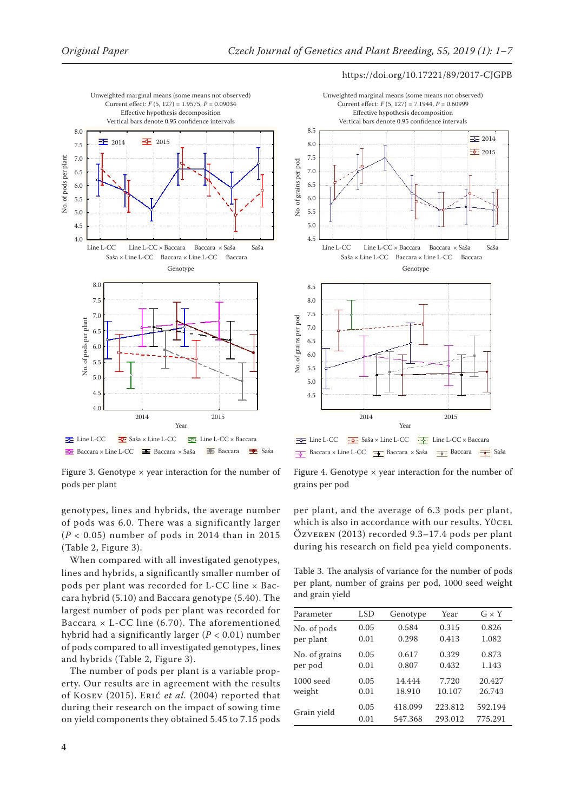

Figure 3. Genotype  $\times$  year interaction for the number of pods per plant

genotypes, lines and hybrids, the average number of pods was 6.0. There was a significantly larger (*P* < 0.05) number of pods in 2014 than in 2015 (Table 2, Figure 3).

When compared with all investigated genotypes, lines and hybrids, a significantly smaller number of pods per plant was recorded for L-CC line × Baccara hybrid (5.10) and Baccara genotype (5.40). The largest number of pods per plant was recorded for Baccara  $\times$  L-CC line (6.70). The aforementioned hybrid had a significantly larger (*P* < 0.01) number of pods compared to all investigated genotypes, lines and hybrids (Table 2, Figure 3).

The number of pods per plant is a variable property. Our results are in agreement with the results of Kosev (2015). Erić *et al.* (2004) reported that during their research on the impact of sowing time on yield components they obtained 5.45 to 7.15 pods



Figure 4. Genotype  $\times$  year interaction for the number of grains per pod

per plant, and the average of 6.3 pods per plant, which is also in accordance with our results. YÜCEL Özveren (2013) recorded 9.3–17.4 pods per plant during his research on field pea yield components.

Table 3. The analysis of variance for the number of pods per plant, number of grains per pod, 1000 seed weight and grain yield

| Parameter     | <b>LSD</b> | Genotype | Year    | $G \times Y$ |
|---------------|------------|----------|---------|--------------|
| No. of pods   | 0.05       | 0.584    | 0.315   | 0.826        |
| per plant     | 0.01       | 0.298    | 0.413   | 1.082        |
| No. of grains | 0.05       | 0.617    | 0.329   | 0.873        |
| per pod       | 0.01       | 0.807    | 0.432   | 1.143        |
| $1000$ seed   | 0.05       | 14.444   | 7.720   | 20.427       |
| weight        | 0.01       | 18.910   | 10.107  | 26.743       |
| Grain yield   | 0.05       | 418.099  | 223.812 | 592.194      |
|               | 0.01       | 547.368  | 293.012 | 775.291      |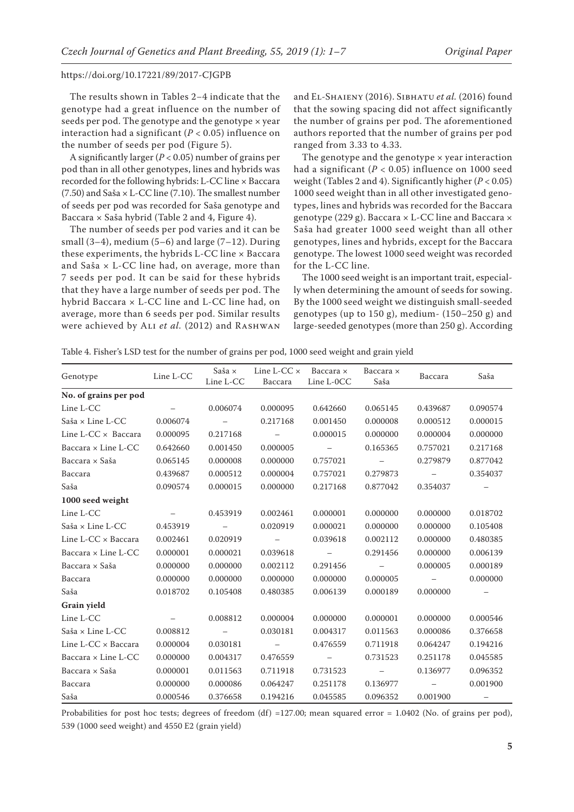The results shown in Tables 2−4 indicate that the genotype had a great influence on the number of seeds per pod. The genotype and the genotype × year interaction had a significant ( $P < 0.05$ ) influence on the number of seeds per pod (Figure 5).

A significantly larger (*P* < 0.05) number of grains per pod than in all other genotypes, lines and hybrids was recorded for the following hybrids: L-CC line × Baccara (7.50) and Saša × L-CC line (7.10). The smallest number of seeds per pod was recorded for Saša genotype and Baccara  $\times$  Saša hybrid (Table 2 and 4, Figure 4).

The number of seeds per pod varies and it can be small  $(3-4)$ , medium  $(5-6)$  and large  $(7-12)$ . During these experiments, the hybrids L-CC line × Baccara and Saša × L-CC line had, on average, more than 7 seeds per pod. It can be said for these hybrids that they have a large number of seeds per pod. The hybrid Baccara × L-CC line and L-CC line had, on average, more than 6 seeds per pod. Similar results were achieved by ALI et al. (2012) and RASHWAN

and El-Shaieny (2016). Sibhatu *et al.* (2016) found that the sowing spacing did not affect significantly the number of grains per pod. The aforementioned authors reported that the number of grains per pod ranged from 3.33 to 4.33.

The genotype and the genotype  $\times$  year interaction had a significant (*P* < 0.05) influence on 1000 seed weight (Tables 2 and 4). Significantly higher (*P* < 0.05) 1000 seed weight than in all other investigated genotypes, lines and hybrids was recorded for the Baccara genotype (229 g). Baccara  $\times$  L-CC line and Baccara  $\times$ Saša had greater 1000 seed weight than all other genotypes, lines and hybrids, except for the Baccara genotype. The lowest 1000 seed weight was recorded for the L-CC line.

The 1000 seed weight is an important trait, especially when determining the amount of seeds for sowing. By the 1000 seed weight we distinguish small-seeded genotypes (up to 150 g), medium-  $(150-250 \text{ g})$  and large-seeded genotypes (more than 250 g). According

Table 4. Fisher's LSD test for the number of grains per pod, 1000 seed weight and grain yield

| Genotype                   | Line L-CC                | Saša $\times$<br>Line L-CC | Line L-CC $\times$<br>Baccara | Baccara ×<br>Line L-0CC | Baccara ×<br>Saša        | Baccara                  | Saša                     |
|----------------------------|--------------------------|----------------------------|-------------------------------|-------------------------|--------------------------|--------------------------|--------------------------|
| No. of grains per pod      |                          |                            |                               |                         |                          |                          |                          |
| Line L-CC                  |                          | 0.006074                   | 0.000095                      | 0.642660                | 0.065145                 | 0.439687                 | 0.090574                 |
| Saša $\times$ Line L-CC    | 0.006074                 | $\overline{\phantom{m}}$   | 0.217168                      | 0.001450                | 0.000008                 | 0.000512                 | 0.000015                 |
| Line L-CC $\times$ Baccara | 0.000095                 | 0.217168                   |                               | 0.000015                | 0.000000                 | 0.000004                 | 0.000000                 |
| Baccara × Line L-CC        | 0.642660                 | 0.001450                   | 0.000005                      |                         | 0.165365                 | 0.757021                 | 0.217168                 |
| Baccara × Saša             | 0.065145                 | 0.000008                   | 0.000000                      | 0.757021                | $\overline{\phantom{m}}$ | 0.279879                 | 0.877042                 |
| Baccara                    | 0.439687                 | 0.000512                   | 0.000004                      | 0.757021                | 0.279873                 |                          | 0.354037                 |
| Saša                       | 0.090574                 | 0.000015                   | 0.000000                      | 0.217168                | 0.877042                 | 0.354037                 |                          |
| 1000 seed weight           |                          |                            |                               |                         |                          |                          |                          |
| Line L-CC                  | $\overline{\phantom{m}}$ | 0.453919                   | 0.002461                      | 0.000001                | 0.000000                 | 0.000000                 | 0.018702                 |
| Saša $\times$ Line L-CC    | 0.453919                 | $\overline{\phantom{0}}$   | 0.020919                      | 0.000021                | 0.000000                 | 0.000000                 | 0.105408                 |
| Line L-CC $\times$ Baccara | 0.002461                 | 0.020919                   |                               | 0.039618                | 0.002112                 | 0.000000                 | 0.480385                 |
| Baccara × Line L-CC        | 0.000001                 | 0.000021                   | 0.039618                      | $\equiv$                | 0.291456                 | 0.000000                 | 0.006139                 |
| Baccara × Saša             | 0.000000                 | 0.000000                   | 0.002112                      | 0.291456                |                          | 0.000005                 | 0.000189                 |
| Baccara                    | 0.000000                 | 0.000000                   | 0.000000                      | 0.000000                | 0.000005                 |                          | 0.000000                 |
| Saša                       | 0.018702                 | 0.105408                   | 0.480385                      | 0.006139                | 0.000189                 | 0.000000                 |                          |
| <b>Grain yield</b>         |                          |                            |                               |                         |                          |                          |                          |
| Line L-CC                  |                          | 0.008812                   | 0.000004                      | 0.000000                | 0.000001                 | 0.000000                 | 0.000546                 |
| Saša × Line L-CC           | 0.008812                 | $\overline{\phantom{m}}$   | 0.030181                      | 0.004317                | 0.011563                 | 0.000086                 | 0.376658                 |
| Line L-CC $\times$ Baccara | 0.000004                 | 0.030181                   | $\overline{\phantom{m}}$      | 0.476559                | 0.711918                 | 0.064247                 | 0.194216                 |
| Baccara × Line L-CC        | 0.000000                 | 0.004317                   | 0.476559                      | $\equiv$                | 0.731523                 | 0.251178                 | 0.045585                 |
| Baccara × Saša             | 0.000001                 | 0.011563                   | 0.711918                      | 0.731523                | $\overline{\phantom{m}}$ | 0.136977                 | 0.096352                 |
| Baccara                    | 0.000000                 | 0.000086                   | 0.064247                      | 0.251178                | 0.136977                 | $\overline{\phantom{0}}$ | 0.001900                 |
| Saša                       | 0.000546                 | 0.376658                   | 0.194216                      | 0.045585                | 0.096352                 | 0.001900                 | $\overline{\phantom{m}}$ |

Probabilities for post hoc tests; degrees of freedom (df) =127.00; mean squared error = 1.0402 (No. of grains per pod), 539 (1000 seed weight) and 4550 E2 (grain yield)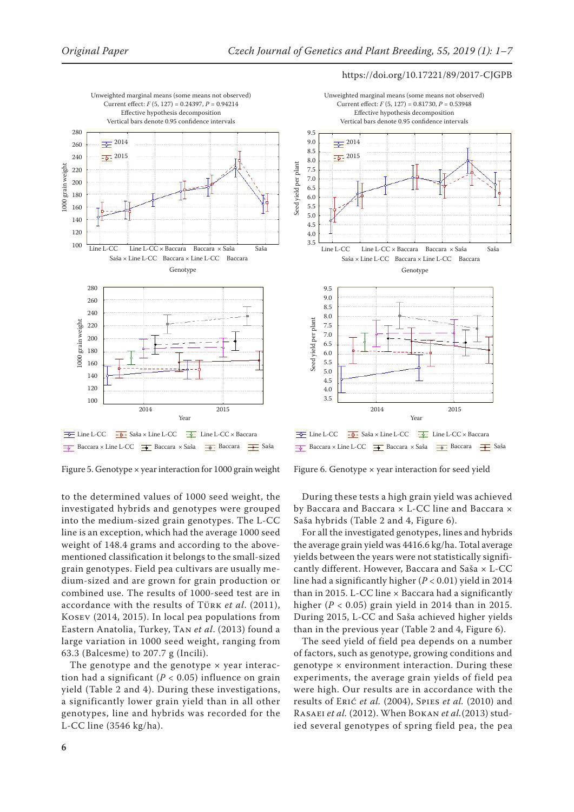

Figure 5. Genotype × year interaction for 1000 grain weight

to the determined values of 1000 seed weight, the investigated hybrids and genotypes were grouped into the medium-sized grain genotypes. The L-CC line is an exception, which had the average 1000 seed weight of 148.4 grams and according to the abovementioned classification it belongs to the small-sized grain genotypes. Field pea cultivars are usually medium-sized and are grown for grain production or combined use. The results of 1000-seed test are in accordance with the results of Türk *et al*. (2011), Kosev (2014, 2015). In local pea populations from Eastern Anatolia, Turkey, Tan *et al*. (2013) found a large variation in 1000 seed weight, ranging from 63.3 (Balcesme) to 207.7 g (Incili).

The genotype and the genotype  $\times$  year interaction had a significant ( $P < 0.05$ ) influence on grain yield (Table 2 and 4). During these investigations, а significantly lower grain yield than in all other genotypes, line and hybrids was recorded for the L-CC line (3546 kg/ha).



Figure 6. Genotype × year interaction for seed yield

During these tests а high grain yield was achieved by Baccara and Baccara × L-CC line and Baccara × Saša hybrids (Table 2 and 4, Figure 6).

For all the investigated genotypes, lines and hybrids the average grain yield was 4416.6 kg/ha. Total average yields between the years were not statistically significantly different. However, Baccara and Saša × L-CC line had а significantly higher (*P* < 0.01) yield in 2014 than in 2015. L-CC line × Baccara had а significantly higher (*P* < 0.05) grain yield in 2014 than in 2015. During 2015, L-CC and Saša achieved higher yields than in the previous year (Table 2 and 4, Figure 6).

The seed yield of field pea depends on а number of factors, such as genotype, growing conditions and genotype × environment interaction. During these experiments, the average grain yields of field pea were high. Our results are in accordance with the results of Erić *et al.* (2004), Spies *et al.* (2010) and Rasaei *et al.* (2012). When Bokan *et al.*(2013) studied several genotypes of spring field pea, the pea